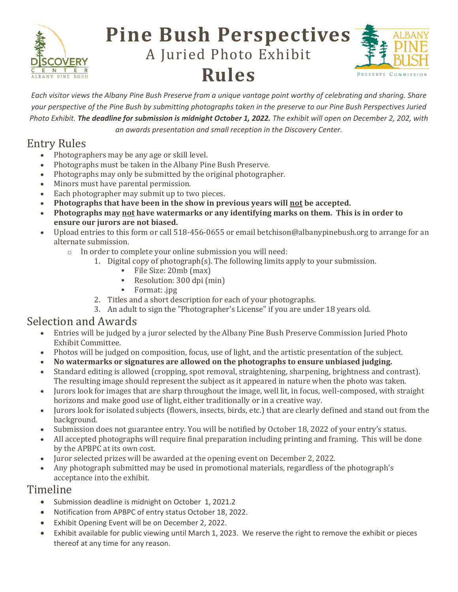

## **Pine Bush Perspectives** A Juried Photo Exhibit **Rules**



*Each visitor views the Albany Pine Bush Preserve from a unique vantage point worthy of celebrating and sharing. Share your perspective of the Pine Bush by submitting photographs taken in the preserve to our Pine Bush Perspectives Juried Photo Exhibit. The deadline for submission is midnight October 1, 2022. The exhibit will open on December 2, 202, with an awards presentation and small reception in the Discovery Center.* 

### Entry Rules

- Photographers may be any age or skill level.
- Photographs must be taken in the Albany Pine Bush Preserve.
- Photographs may only be submitted by the original photographer.
- Minors must have parental permission.
- Each photographer may submit up to two pieces.
- **Photographs that have been in the show in previous years will not be accepted.**
- **Photographs may not have watermarks or any identifying marks on them. This is in order to ensure our jurors are not biased.**
- Upload entries to this form or call 518-456-0655 or email betchison@albanypinebush.org to arrange for an alternate submission.
	- o In order to complete your online submission you will need:
		- 1. Digital copy of photograph(s). The following limits apply to your submission.
			- File Size: 20mb (max)
			- Resolution: 300 dpi (min)
			- Format: .jpg
		- 2. Titles and a short description for each of your photographs.
		- 3. An adult to sign the "Photographer's License" if you are under 18 years old.

#### Selection and Awards

- Entries will be judged by a juror selected by the Albany Pine Bush Preserve Commission Juried Photo Exhibit Committee.
- Photos will be judged on composition, focus, use of light, and the artistic presentation of the subject.
- **No watermarks or signatures are allowed on the photographs to ensure unbiased judging.**
- Standard editing is allowed (cropping, spot removal, straightening, sharpening, brightness and contrast). The resulting image should represent the subject as it appeared in nature when the photo was taken.
- Jurors look for images that are sharp throughout the image, well lit, in focus, well-composed, with straight horizons and make good use of light, either traditionally or in a creative way.
- Jurors look for isolated subjects (flowers, insects, birds, etc.) that are clearly defined and stand out from the background.
- Submission does not guarantee entry. You will be notified by October 18, 2022 of your entry's status.
- All accepted photographs will require final preparation including printing and framing. This will be done by the APBPC at its own cost.
- Juror selected prizes will be awarded at the opening event on December 2, 2022.
- Any photograph submitted may be used in promotional materials, regardless of the photograph's acceptance into the exhibit.

#### Timeline

- Submission deadline is midnight on October 1, 2021.2
- Notification from APBPC of entry status October 18, 2022.
- Exhibit Opening Event will be on December 2, 2022.
- Exhibit available for public viewing until March 1, 2023. We reserve the right to remove the exhibit or pieces thereof at any time for any reason.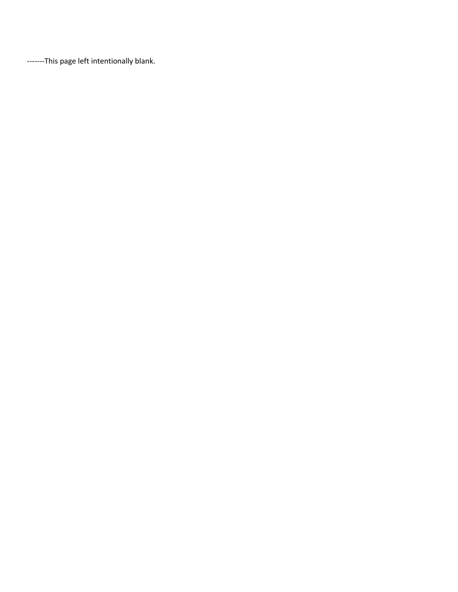-------This page left intentionally blank.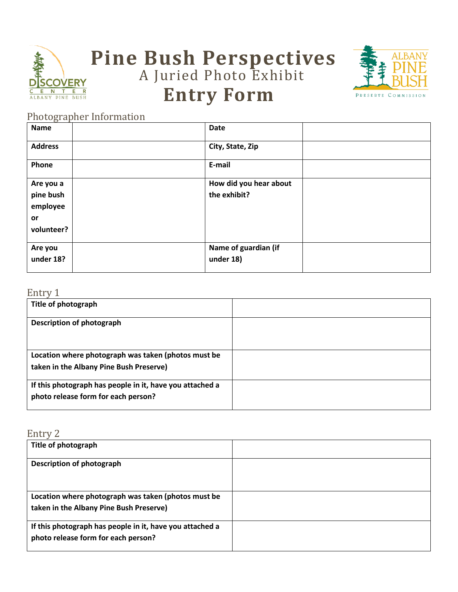

## **Pine Bush Perspectives** A Juried Photo Exhibit **Entry Form**



#### Photographer Information

| <b>Name</b>    | <b>Date</b>            |  |
|----------------|------------------------|--|
| <b>Address</b> | City, State, Zip       |  |
| Phone          | E-mail                 |  |
| Are you a      | How did you hear about |  |
| pine bush      | the exhibit?           |  |
| employee       |                        |  |
| or             |                        |  |
| volunteer?     |                        |  |
| Are you        | Name of guardian (if   |  |
| under 18?      | under 18)              |  |

#### Entry 1

| $\blacksquare$                                                                                  |  |
|-------------------------------------------------------------------------------------------------|--|
| Title of photograph                                                                             |  |
| Description of photograph                                                                       |  |
| Location where photograph was taken (photos must be<br>taken in the Albany Pine Bush Preserve)  |  |
| If this photograph has people in it, have you attached a<br>photo release form for each person? |  |

## Entry 2 **Title of photograph Description of photograph Location where photograph was taken (photos must be taken in the Albany Pine Bush Preserve) If this photograph has people in it, have you attached a photo release form for each person?**